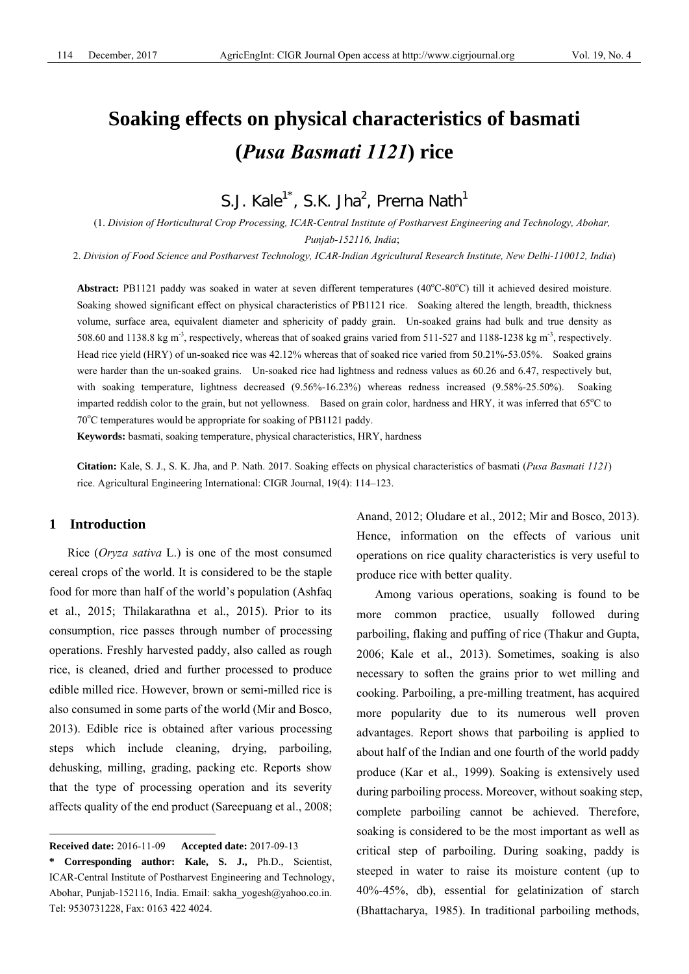# **Soaking effects on physical characteristics of basmati (***Pusa Basmati 1121***) rice**

S.J. Kale<sup>1\*</sup>, S.K. Jha<sup>2</sup>, Prerna Nath<sup>1</sup>

(1. *Division of Horticultural Crop Processing, ICAR-Central Institute of Postharvest Engineering and Technology, Abohar, Punjab-152116, India*;

2. *Division of Food Science and Postharvest Technology, ICAR-Indian Agricultural Research Institute, New Delhi-110012, India*)

Abstract: PB1121 paddy was soaked in water at seven different temperatures (40°C-80°C) till it achieved desired moisture. Soaking showed significant effect on physical characteristics of PB1121 rice. Soaking altered the length, breadth, thickness volume, surface area, equivalent diameter and sphericity of paddy grain. Un-soaked grains had bulk and true density as 508.60 and 1138.8 kg m<sup>-3</sup>, respectively, whereas that of soaked grains varied from 511-527 and 1188-1238 kg m<sup>-3</sup>, respectively. Head rice yield (HRY) of un-soaked rice was 42.12% whereas that of soaked rice varied from 50.21%-53.05%. Soaked grains were harder than the un-soaked grains. Un-soaked rice had lightness and redness values as 60.26 and 6.47, respectively but, with soaking temperature, lightness decreased (9.56%-16.23%) whereas redness increased (9.58%-25.50%). Soaking imparted reddish color to the grain, but not yellowness. Based on grain color, hardness and HRY, it was inferred that 65°C to 70°C temperatures would be appropriate for soaking of PB1121 paddy.

**Keywords:** basmati, soaking temperature, physical characteristics, HRY, hardness

**Citation:** Kale, S. J., S. K. Jha, and P. Nath. 2017. Soaking effects on physical characteristics of basmati (*Pusa Basmati 1121*) rice. Agricultural Engineering International: CIGR Journal, 19(4): 114–123.

## **1 Introduction**

 $\overline{a}$ 

Rice (*Oryza sativa* L.) is one of the most consumed cereal crops of the world. It is considered to be the staple food for more than half of the world's population (Ashfaq et al., 2015; Thilakarathna et al., 2015). Prior to its consumption, rice passes through number of processing operations. Freshly harvested paddy, also called as rough rice, is cleaned, dried and further processed to produce edible milled rice. However, brown or semi-milled rice is also consumed in some parts of the world (Mir and Bosco, 2013). Edible rice is obtained after various processing steps which include cleaning, drying, parboiling, dehusking, milling, grading, packing etc. Reports show that the type of processing operation and its severity affects quality of the end product (Sareepuang et al., 2008; Anand, 2012; Oludare et al., 2012; Mir and Bosco, 2013). Hence, information on the effects of various unit operations on rice quality characteristics is very useful to produce rice with better quality.

Among various operations, soaking is found to be more common practice, usually followed during parboiling, flaking and puffing of rice (Thakur and Gupta, 2006; Kale et al., 2013). Sometimes, soaking is also necessary to soften the grains prior to wet milling and cooking. Parboiling, a pre-milling treatment, has acquired more popularity due to its numerous well proven advantages. Report shows that parboiling is applied to about half of the Indian and one fourth of the world paddy produce (Kar et al., 1999). Soaking is extensively used during parboiling process. Moreover, without soaking step, complete parboiling cannot be achieved. Therefore, soaking is considered to be the most important as well as critical step of parboiling. During soaking, paddy is steeped in water to raise its moisture content (up to 40%-45%, db), essential for gelatinization of starch (Bhattacharya, 1985). In traditional parboiling methods,

**Received date:** 2016-11-09 **Accepted date:** 2017-09-13

**<sup>\*</sup> Corresponding author: Kale, S. J.,** Ph.D., Scientist, ICAR-Central Institute of Postharvest Engineering and Technology, Abohar, Punjab-152116, India. Email: sakha\_yogesh@yahoo.co.in. Tel: 9530731228, Fax: 0163 422 4024.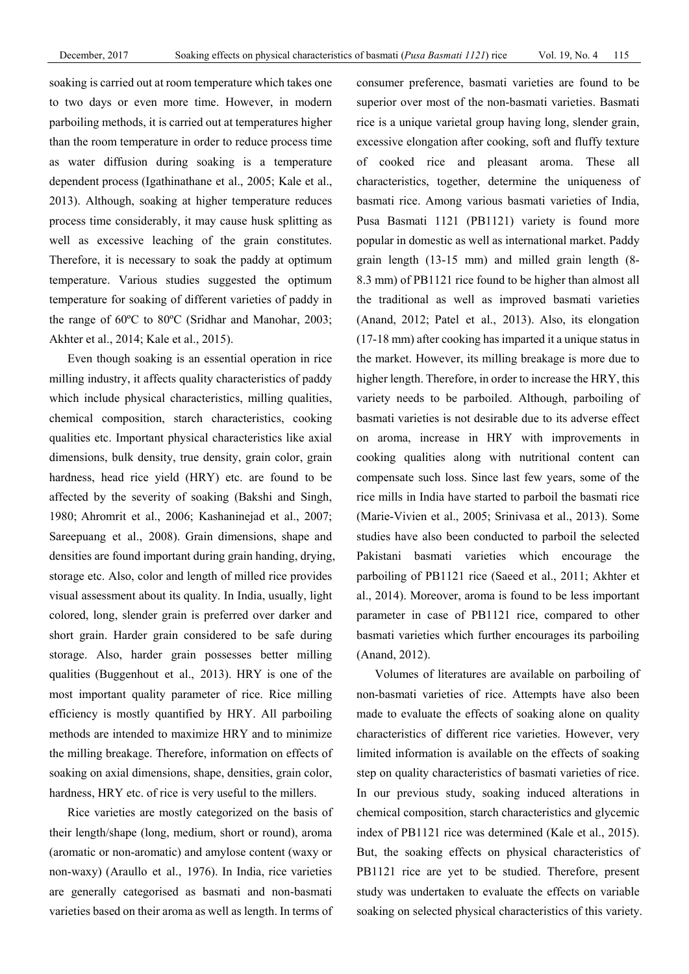soaking is carried out at room temperature which takes one to two days or even more time. However, in modern parboiling methods, it is carried out at temperatures higher than the room temperature in order to reduce process time as water diffusion during soaking is a temperature dependent process (Igathinathane et al., 2005; Kale et al., 2013). Although, soaking at higher temperature reduces process time considerably, it may cause husk splitting as well as excessive leaching of the grain constitutes. Therefore, it is necessary to soak the paddy at optimum temperature. Various studies suggested the optimum temperature for soaking of different varieties of paddy in the range of 60ºC to 80ºC (Sridhar and Manohar, 2003; Akhter et al., 2014; Kale et al., 2015).

Even though soaking is an essential operation in rice milling industry, it affects quality characteristics of paddy which include physical characteristics, milling qualities, chemical composition, starch characteristics, cooking qualities etc. Important physical characteristics like axial dimensions, bulk density, true density, grain color, grain hardness, head rice yield (HRY) etc. are found to be affected by the severity of soaking (Bakshi and Singh, 1980; Ahromrit et al., 2006; Kashaninejad et al., 2007; Sareepuang et al., 2008). Grain dimensions, shape and densities are found important during grain handing, drying, storage etc. Also, color and length of milled rice provides visual assessment about its quality. In India, usually, light colored, long, slender grain is preferred over darker and short grain. Harder grain considered to be safe during storage. Also, harder grain possesses better milling qualities (Buggenhout et al., 2013). HRY is one of the most important quality parameter of rice. Rice milling efficiency is mostly quantified by HRY. All parboiling methods are intended to maximize HRY and to minimize the milling breakage. Therefore, information on effects of soaking on axial dimensions, shape, densities, grain color, hardness, HRY etc. of rice is very useful to the millers.

Rice varieties are mostly categorized on the basis of their length/shape (long, medium, short or round), aroma (aromatic or non-aromatic) and amylose content (waxy or non-waxy) (Araullo et al., 1976). In India, rice varieties are generally categorised as basmati and non-basmati varieties based on their aroma as well as length. In terms of consumer preference, basmati varieties are found to be superior over most of the non-basmati varieties. Basmati rice is a unique varietal group having long, slender grain, excessive elongation after cooking, soft and fluffy texture of cooked rice and pleasant aroma. These all characteristics, together, determine the uniqueness of basmati rice. Among various basmati varieties of India, Pusa Basmati 1121 (PB1121) variety is found more popular in domestic as well as international market. Paddy grain length (13-15 mm) and milled grain length (8- 8.3 mm) of PB1121 rice found to be higher than almost all the traditional as well as improved basmati varieties (Anand, 2012; Patel et al., 2013). Also, its elongation (17-18 mm) after cooking has imparted it a unique status in the market. However, its milling breakage is more due to higher length. Therefore, in order to increase the HRY, this variety needs to be parboiled. Although, parboiling of basmati varieties is not desirable due to its adverse effect on aroma, increase in HRY with improvements in cooking qualities along with nutritional content can compensate such loss. Since last few years, some of the rice mills in India have started to parboil the basmati rice (Marie-Vivien et al., 2005; Srinivasa et al., 2013). Some studies have also been conducted to parboil the selected Pakistani basmati varieties which encourage the parboiling of PB1121 rice (Saeed et al., 2011; Akhter et al., 2014). Moreover, aroma is found to be less important parameter in case of PB1121 rice, compared to other basmati varieties which further encourages its parboiling (Anand, 2012).

Volumes of literatures are available on parboiling of non-basmati varieties of rice. Attempts have also been made to evaluate the effects of soaking alone on quality characteristics of different rice varieties. However, very limited information is available on the effects of soaking step on quality characteristics of basmati varieties of rice. In our previous study, soaking induced alterations in chemical composition, starch characteristics and glycemic index of PB1121 rice was determined (Kale et al., 2015). But, the soaking effects on physical characteristics of PB1121 rice are yet to be studied. Therefore, present study was undertaken to evaluate the effects on variable soaking on selected physical characteristics of this variety.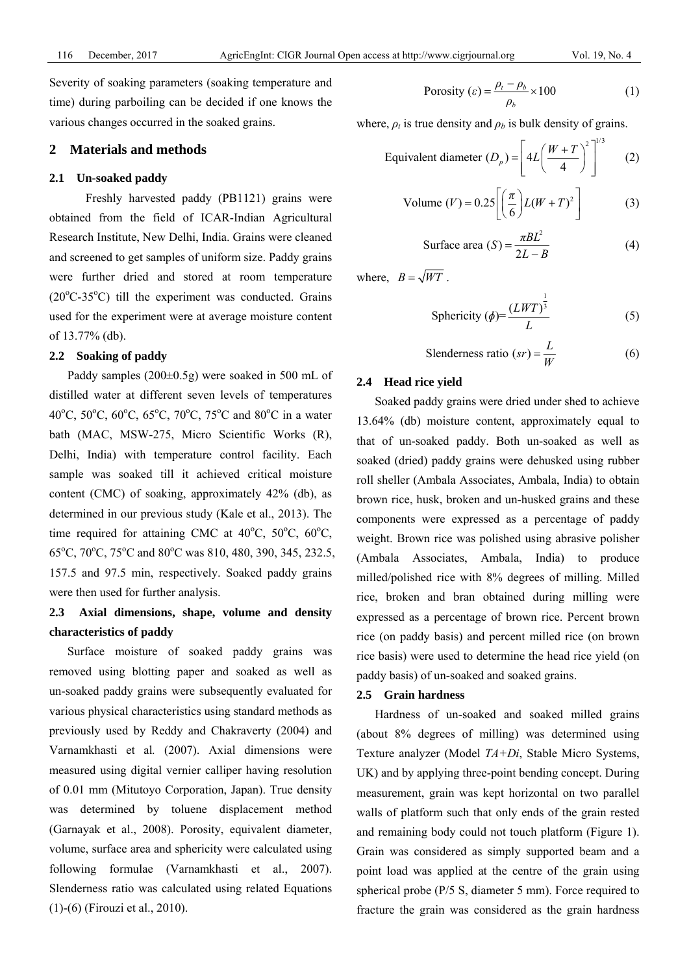Severity of soaking parameters (soaking temperature and time) during parboiling can be decided if one knows the various changes occurred in the soaked grains.

# **2 Materials and methods**

#### **2.1 Un-soaked paddy**

Freshly harvested paddy (PB1121) grains were obtained from the field of ICAR-Indian Agricultural Research Institute, New Delhi, India. Grains were cleaned and screened to get samples of uniform size. Paddy grains were further dried and stored at room temperature  $(20^{\circ}$ C-35 $^{\circ}$ C) till the experiment was conducted. Grains used for the experiment were at average moisture content of 13.77% (db).

#### **2.2 Soaking of paddy**

Paddy samples (200±0.5g) were soaked in 500 mL of distilled water at different seven levels of temperatures 40°C, 50°C, 60°C, 65°C, 70°C, 75°C and 80°C in a water bath (MAC, MSW-275, Micro Scientific Works (R), Delhi, India) with temperature control facility. Each sample was soaked till it achieved critical moisture content (CMC) of soaking, approximately 42% (db), as determined in our previous study (Kale et al., 2013). The time required for attaining CMC at  $40^{\circ}$ C,  $50^{\circ}$ C,  $60^{\circ}$ C, 65<sup>o</sup>C, 70<sup>o</sup>C, 75<sup>o</sup>C and 80<sup>o</sup>C was 810, 480, 390, 345, 232.5, 157.5 and 97.5 min, respectively. Soaked paddy grains were then used for further analysis.

# **2.3 Axial dimensions, shape, volume and density characteristics of paddy**

Surface moisture of soaked paddy grains was removed using blotting paper and soaked as well as un-soaked paddy grains were subsequently evaluated for various physical characteristics using standard methods as previously used by Reddy and Chakraverty (2004) and Varnamkhasti et al*.* (2007). Axial dimensions were measured using digital vernier calliper having resolution of 0.01 mm (Mitutoyo Corporation, Japan). True density was determined by toluene displacement method (Garnayak et al., 2008). Porosity, equivalent diameter, volume, surface area and sphericity were calculated using following formulae (Varnamkhasti et al., 2007). Slenderness ratio was calculated using related Equations (1)-(6) (Firouzi et al., 2010).

$$
Porosity (\varepsilon) = \frac{\rho_t - \rho_b}{\rho_b} \times 100
$$
 (1)

where,  $\rho_t$  is true density and  $\rho_b$  is bulk density of grains.

$$
\text{Equivalent diameter } (D_p) = \left[ 4L \left( \frac{W + T}{4} \right)^2 \right]^{1/3} \tag{2}
$$

Volume 
$$
(V) = 0.25 \left[ \left( \frac{\pi}{6} \right) L(W + T)^2 \right]
$$
 (3)

Surface area 
$$
(S) = \frac{\pi B L^2}{2L - B}
$$
 (4)

where,  $B = \sqrt{WT}$ .

Sphericity 
$$
(\phi) = \frac{(LWT)^{\frac{1}{3}}}{L}
$$
 (5)

Slenders ratio 
$$
(sr) = \frac{L}{W}
$$
 (6)

#### **2.4 Head rice yield**

Soaked paddy grains were dried under shed to achieve 13.64% (db) moisture content, approximately equal to that of un-soaked paddy. Both un-soaked as well as soaked (dried) paddy grains were dehusked using rubber roll sheller (Ambala Associates, Ambala, India) to obtain brown rice, husk, broken and un-husked grains and these components were expressed as a percentage of paddy weight. Brown rice was polished using abrasive polisher (Ambala Associates, Ambala, India) to produce milled/polished rice with 8% degrees of milling. Milled rice, broken and bran obtained during milling were expressed as a percentage of brown rice. Percent brown rice (on paddy basis) and percent milled rice (on brown rice basis) were used to determine the head rice yield (on paddy basis) of un-soaked and soaked grains.

### **2.5 Grain hardness**

Hardness of un-soaked and soaked milled grains (about 8% degrees of milling) was determined using Texture analyzer (Model *TA+Di*, Stable Micro Systems, UK) and by applying three-point bending concept. During measurement, grain was kept horizontal on two parallel walls of platform such that only ends of the grain rested and remaining body could not touch platform (Figure 1). Grain was considered as simply supported beam and a point load was applied at the centre of the grain using spherical probe (P/5 S, diameter 5 mm). Force required to fracture the grain was considered as the grain hardness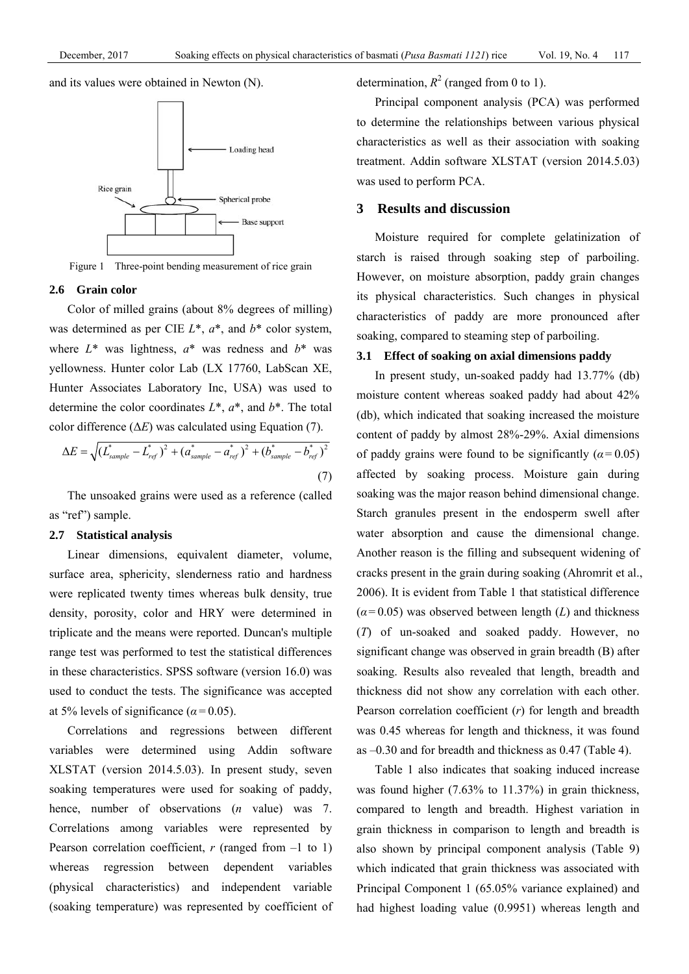and its values were obtained in Newton (N).



Figure 1 Three-point bending measurement of rice grain

#### **2.6 Grain color**

Color of milled grains (about 8% degrees of milling) was determined as per CIE *L*\*, *a*\*, and *b*\* color system, where  $L^*$  was lightness,  $a^*$  was redness and  $b^*$  was yellowness. Hunter color Lab (LX 17760, LabScan XE, Hunter Associates Laboratory Inc, USA) was used to determine the color coordinates *L*\*, *a*\*, and *b*\*. The total color difference (Δ*E*) was calculated using Equation (7).

$$
\Delta E = \sqrt{\left(L_{sample}^* - L_{ref}^*\right)^2 + \left(a_{sample}^* - a_{ref}^*\right)^2 + \left(b_{sample}^* - b_{ref}^*\right)^2}
$$
\n(7)

The unsoaked grains were used as a reference (called as "ref") sample.

#### **2.7 Statistical analysis**

Linear dimensions, equivalent diameter, volume, surface area, sphericity, slenderness ratio and hardness were replicated twenty times whereas bulk density, true density, porosity, color and HRY were determined in triplicate and the means were reported. Duncan's multiple range test was performed to test the statistical differences in these characteristics. SPSS software (version 16.0) was used to conduct the tests. The significance was accepted at 5% levels of significance ( $\alpha$  = 0.05).

Correlations and regressions between different variables were determined using Addin software XLSTAT (version 2014.5.03). In present study, seven soaking temperatures were used for soaking of paddy, hence, number of observations (*n* value) was 7. Correlations among variables were represented by Pearson correlation coefficient,  $r$  (ranged from  $-1$  to 1) whereas regression between dependent variables (physical characteristics) and independent variable (soaking temperature) was represented by coefficient of determination,  $R^2$  (ranged from 0 to 1).

Principal component analysis (PCA) was performed to determine the relationships between various physical characteristics as well as their association with soaking treatment. Addin software XLSTAT (version 2014.5.03) was used to perform PCA.

# **3 Results and discussion**

Moisture required for complete gelatinization of starch is raised through soaking step of parboiling. However, on moisture absorption, paddy grain changes its physical characteristics. Such changes in physical characteristics of paddy are more pronounced after soaking, compared to steaming step of parboiling.

#### **3.1 Effect of soaking on axial dimensions paddy**

In present study, un-soaked paddy had 13.77% (db) moisture content whereas soaked paddy had about 42% (db), which indicated that soaking increased the moisture content of paddy by almost 28%-29%. Axial dimensions of paddy grains were found to be significantly  $(a=0.05)$ affected by soaking process. Moisture gain during soaking was the major reason behind dimensional change. Starch granules present in the endosperm swell after water absorption and cause the dimensional change. Another reason is the filling and subsequent widening of cracks present in the grain during soaking (Ahromrit et al., 2006). It is evident from Table 1 that statistical difference  $(a=0.05)$  was observed between length (*L*) and thickness (*T*) of un-soaked and soaked paddy. However, no significant change was observed in grain breadth (B) after soaking. Results also revealed that length, breadth and thickness did not show any correlation with each other. Pearson correlation coefficient (*r*) for length and breadth was 0.45 whereas for length and thickness, it was found as –0.30 and for breadth and thickness as 0.47 (Table 4).

Table 1 also indicates that soaking induced increase was found higher (7.63% to 11.37%) in grain thickness, compared to length and breadth. Highest variation in grain thickness in comparison to length and breadth is also shown by principal component analysis (Table 9) which indicated that grain thickness was associated with Principal Component 1 (65.05% variance explained) and had highest loading value (0.9951) whereas length and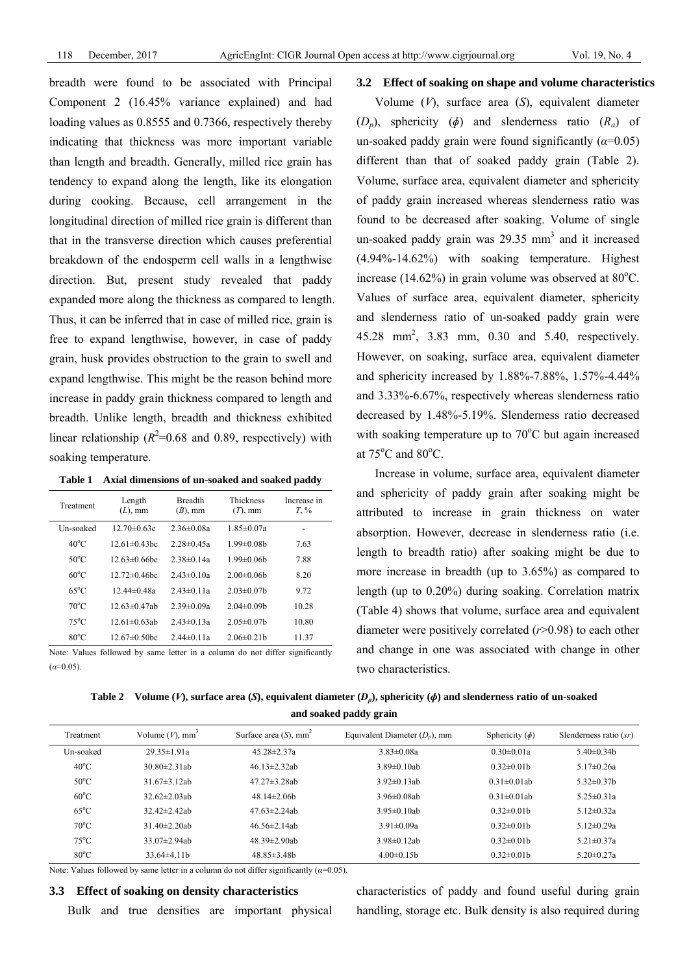breadth were found to be associated with Principal Component 2 (16.45% variance explained) and had loading values as 0.8555 and 0.7366, respectively thereby indicating that thickness was more important variable than length and breadth. Generally, milled rice grain has tendency to expand along the length, like its elongation during cooking. Because, cell arrangement in the longitudinal direction of milled rice grain is different than that in the transverse direction which causes preferential breakdown of the endosperm cell walls in a lengthwise direction. But, present study revealed that paddy expanded more along the thickness as compared to length. Thus, it can be inferred that in case of milled rice, grain is free to expand lengthwise, however, in case of paddy grain, husk provides obstruction to the grain to swell and expand lengthwise. This might be the reason behind more increase in paddy grain thickness compared to length and breadth. Unlike length, breadth and thickness exhibited linear relationship  $(R^2=0.68$  and 0.89, respectively) with soaking temperature.

|  |  | Table 1 Axial dimensions of un-soaked and soaked paddy |  |  |  |  |  |
|--|--|--------------------------------------------------------|--|--|--|--|--|
|--|--|--------------------------------------------------------|--|--|--|--|--|

| Treatment      | Length<br>$(L)$ , mm | <b>Breadth</b><br>$(B)$ , mm | Thickness<br>$(T)$ , mm | Increase in<br>$T_{\rm s}$ % |
|----------------|----------------------|------------------------------|-------------------------|------------------------------|
| Un-soaked      | $12.70\pm0.63c$      | $2.36 \pm 0.08a$             | $1.85 \pm 0.07a$        |                              |
| $40^{\circ}$ C | $12.61 \pm 0.43$ hc  | $2.28 \pm 0.45a$             | $1.99 \pm 0.08$ b       | 7.63                         |
| $50^{\circ}$ C | $12.63 \pm 0.66$ bc  | $2.38 \pm 0.14a$             | $199 \pm 0.06h$         | 7.88                         |
| $60^{\circ}$ C | $12.72 \pm 0.46$ bc  | $2.43 \pm 0.10a$             | $2.00 \pm 0.06$         | 8.20                         |
| $65^{\circ}$ C | 12.44 $\pm$ 0.48a    | $2.43 \pm 0.11a$             | $2.03 \pm 0.07$ b       | 9.72                         |
| $70^{\circ}$ C | $12.63 \pm 0.47$ ab  | $2.39 \pm 0.09a$             | $2.04 \pm 0.09$ h       | 10.28                        |
| $75^{\circ}$ C | $12.61 \pm 0.63$ ab  | $2.43 \pm 0.13a$             | $2.05 \pm 0.07$ h       | 10.80                        |
| $80^{\circ}$ C | $12.67\pm0.50$ bc    | $2.44\pm 0.11a$              | $2.06\pm0.21h$          | 11.37                        |

Note: Values followed by same letter in a column do not differ significantly  $(a=0.05)$ 

### **3.2 Effect of soaking on shape and volume characteristics**

Volume (*V*), surface area (*S*), equivalent diameter (*Dp*), sphericity (*ɸ*) and slenderness ratio (*Ra*) of un-soaked paddy grain were found significantly  $(\alpha=0.05)$ different than that of soaked paddy grain (Table 2). Volume, surface area, equivalent diameter and sphericity of paddy grain increased whereas slenderness ratio was found to be decreased after soaking. Volume of single un-soaked paddy grain was  $29.35$  mm<sup>3</sup> and it increased (4.94%-14.62%) with soaking temperature. Highest increase (14.62%) in grain volume was observed at  $80^{\circ}$ C. Values of surface area, equivalent diameter, sphericity and slenderness ratio of un-soaked paddy grain were 45.28 mm2 , 3.83 mm, 0.30 and 5.40, respectively. However, on soaking, surface area, equivalent diameter and sphericity increased by 1.88%-7.88%, 1.57%-4.44% and 3.33%-6.67%, respectively whereas slenderness ratio decreased by 1.48%-5.19%. Slenderness ratio decreased with soaking temperature up to  $70^{\circ}$ C but again increased at  $75^{\circ}$ C and  $80^{\circ}$ C.

Increase in volume, surface area, equivalent diameter and sphericity of paddy grain after soaking might be attributed to increase in grain thickness on water absorption. However, decrease in slenderness ratio (i.e. length to breadth ratio) after soaking might be due to more increase in breadth (up to 3.65%) as compared to length (up to 0.20%) during soaking. Correlation matrix (Table 4) shows that volume, surface area and equivalent diameter were positively correlated (*r*>0.98) to each other and change in one was associated with change in other two characteristics.

| Table 2 Volume (V), surface area (S), equivalent diameter $(D_n)$ , sphericity ( $\phi$ ) and slenderness ratio of un-soaked |
|------------------------------------------------------------------------------------------------------------------------------|
| and soaked paddy grain                                                                                                       |

| Treatment      | Volume $(V)$ , mm <sup>3</sup> | Surface area $(S)$ , mm <sup>2</sup> | Equivalent Diameter $(D_n)$ , mm | Sphericity $(\phi)$ | Slenderness ratio $(sr)$ |
|----------------|--------------------------------|--------------------------------------|----------------------------------|---------------------|--------------------------|
| Un-soaked      | $29.35 \pm 1.91a$              | $45.28 \pm 2.37a$                    | $3.83 \pm 0.08a$                 | $0.30 \pm 0.01a$    | $5.40\pm0.34h$           |
| $40^{\circ}$ C | $30.80 \pm 2.31$ ab            | $46.13 \pm 2.32$ ab                  | $3.89 \pm 0.10$ ab               | $0.32 \pm 0.01$ b   | $5.17 \pm 0.26a$         |
| $50^{\circ}$ C | $31.67\pm3.12ab$               | $47.27 \pm 3.28$ ab                  | $3.92\pm 0.13$ ab                | $0.31 \pm 0.01$ ab  | $5.32\pm0.37h$           |
| $60^{\circ}$ C | $32.62 \pm 2.03$ ab            | $48.14 \pm 2.06$ h                   | $3.96 \pm 0.08$ ab               | $0.31 \pm 0.01$ ab  | $5.25 \pm 0.31a$         |
| $65^{\circ}$ C | $32.42 \pm 2.42$ ab            | $47.63 \pm 2.24$ ab                  | $3.95 \pm 0.10$ ab               | $0.32 \pm 0.01$ b   | 5.12 $\pm$ 0.32a         |
| $70^{\circ}$ C | $31.40 \pm 2.20$ ab            | $46.56 \pm 2.14$ ab                  | $3.91 \pm 0.09a$                 | $0.32 \pm 0.01$ b   | 5.12 $\pm$ 0.29a         |
| $75^{\circ}$ C | $33.07 \pm 2.94$ ab            | $48.39 \pm 2.90$ ab                  | $3.98 \pm 0.12$ ab               | $0.32\pm0.01h$      | $5.21 \pm 0.37$ a        |
| $80^{\circ}$ C | $33.64\pm4.11h$                | $48.85\pm3.48h$                      | $4.00\pm0.15h$                   | $0.32\pm0.01h$      | $5.20 \pm 0.27a$         |

Note: Values followed by same letter in a column do not differ significantly  $(a=0.05)$ .

# **3.3 Effect of soaking on density characteristics**

Bulk and true densities are important physical

characteristics of paddy and found useful during grain handling, storage etc. Bulk density is also required during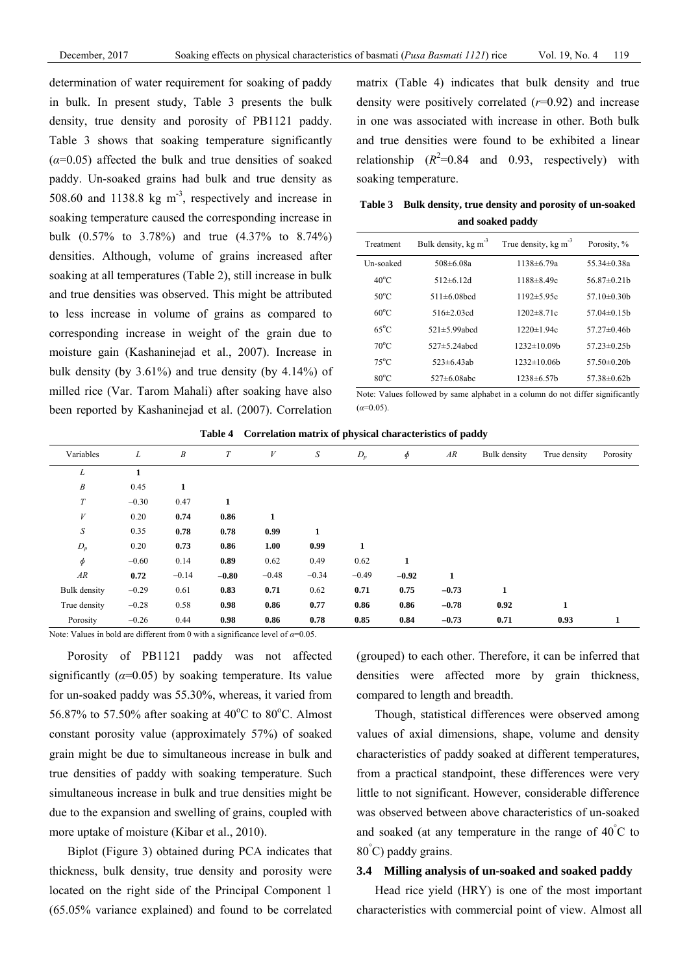determination of water requirement for soaking of paddy in bulk. In present study, Table 3 presents the bulk density, true density and porosity of PB1121 paddy. Table 3 shows that soaking temperature significantly  $(\alpha=0.05)$  affected the bulk and true densities of soaked paddy. Un-soaked grains had bulk and true density as 508.60 and 1138.8 kg  $\text{m}^3$ , respectively and increase in soaking temperature caused the corresponding increase in bulk (0.57% to 3.78%) and true (4.37% to 8.74%) densities. Although, volume of grains increased after soaking at all temperatures (Table 2), still increase in bulk and true densities was observed. This might be attributed to less increase in volume of grains as compared to corresponding increase in weight of the grain due to moisture gain (Kashaninejad et al., 2007). Increase in bulk density (by 3.61%) and true density (by 4.14%) of milled rice (Var. Tarom Mahali) after soaking have also been reported by Kashaninejad et al. (2007). Correlation

matrix (Table 4) indicates that bulk density and true density were positively correlated (*r*=0.92) and increase in one was associated with increase in other. Both bulk and true densities were found to be exhibited a linear relationship  $(R^2=0.84$  and 0.93, respectively) with soaking temperature.

**Table 3 Bulk density, true density and porosity of un-soaked and soaked paddy** 

| Treatment       | Bulk density, kg m <sup>-3</sup> | True density, $kg \, \text{m}^{-3}$ | Porosity, %       |
|-----------------|----------------------------------|-------------------------------------|-------------------|
| Un-soaked       | $508 \pm 608a$                   | $1138 \pm 6.79a$                    | 55.34 $\pm$ 0.38a |
| $40^{\circ}$ C  | $512\pm 6.12d$                   | 1188±8.49c                          | $56.87\pm0.21h$   |
| 50 $^{\circ}$ C | $511 \pm 608$ hcd                | $1192 \pm 5.95c$                    | 57 $10\pm 0$ 30b  |
| $60^{\circ}$ C  | $516\pm 2.03cd$                  | $1202 \pm 871c$                     | 57.04 $\pm$ 0.15h |
| $65^{\circ}$ C  | $521 \pm 5.99$ abcd              | $1220 \pm 1.94c$                    | 57 $27\pm 0.46$ h |
| $70^{\circ}$ C  | $527 \pm 5$ 24abcd               | $1232 \pm 1009$ h                   | 57.23 $\pm$ 0.25b |
| $75^{\circ}$ C  | $523 \pm 643$ ah                 | $1232 \pm 10.06$                    | 57.50 $\pm$ 0.20b |
| $80^{\circ}$ C  | 527 $\pm$ 608abc                 | $1238 \pm 6.57$                     | $57.38\pm0.62h$   |

Note: Values followed by same alphabet in a column do not differ significantly  $(a=0.05)$ 

| Table 4 Correlation matrix of physical characteristics of paddy |
|-----------------------------------------------------------------|
|-----------------------------------------------------------------|

| Variables        | L       | B       | T       | $\boldsymbol{V}$ | S       | $D_p$   | $\phi$  | AR      | Bulk density | True density | Porosity |
|------------------|---------|---------|---------|------------------|---------|---------|---------|---------|--------------|--------------|----------|
| T<br>L           | 1       |         |         |                  |         |         |         |         |              |              |          |
| $\boldsymbol{B}$ | 0.45    | 1       |         |                  |         |         |         |         |              |              |          |
| $\cal T$         | $-0.30$ | 0.47    | 1       |                  |         |         |         |         |              |              |          |
| V                | 0.20    | 0.74    | 0.86    | 1                |         |         |         |         |              |              |          |
| S                | 0.35    | 0.78    | 0.78    | 0.99             | 1       |         |         |         |              |              |          |
| $D_p$            | 0.20    | 0.73    | 0.86    | 1.00             | 0.99    | 1       |         |         |              |              |          |
| $\phi$           | $-0.60$ | 0.14    | 0.89    | 0.62             | 0.49    | 0.62    | 1       |         |              |              |          |
| AR               | 0.72    | $-0.14$ | $-0.80$ | $-0.48$          | $-0.34$ | $-0.49$ | $-0.92$ | 1       |              |              |          |
| Bulk density     | $-0.29$ | 0.61    | 0.83    | 0.71             | 0.62    | 0.71    | 0.75    | $-0.73$ | 1            |              |          |
| True density     | $-0.28$ | 0.58    | 0.98    | 0.86             | 0.77    | 0.86    | 0.86    | $-0.78$ | 0.92         | 1            |          |
| Porosity         | $-0.26$ | 0.44    | 0.98    | 0.86             | 0.78    | 0.85    | 0.84    | $-0.73$ | 0.71         | 0.93         |          |

Note: Values in bold are different from 0 with a significance level of *α*=0.05.

Porosity of PB1121 paddy was not affected significantly  $(a=0.05)$  by soaking temperature. Its value for un-soaked paddy was 55.30%, whereas, it varied from 56.87% to 57.50% after soaking at  $40^{\circ}$ C to  $80^{\circ}$ C. Almost constant porosity value (approximately 57%) of soaked grain might be due to simultaneous increase in bulk and true densities of paddy with soaking temperature. Such simultaneous increase in bulk and true densities might be due to the expansion and swelling of grains, coupled with more uptake of moisture (Kibar et al., 2010).

Biplot (Figure 3) obtained during PCA indicates that thickness, bulk density, true density and porosity were located on the right side of the Principal Component 1 (65.05% variance explained) and found to be correlated (grouped) to each other. Therefore, it can be inferred that densities were affected more by grain thickness, compared to length and breadth.

Though, statistical differences were observed among values of axial dimensions, shape, volume and density characteristics of paddy soaked at different temperatures, from a practical standpoint, these differences were very little to not significant. However, considerable difference was observed between above characteristics of un-soaked and soaked (at any temperature in the range of  $40^{\circ}$ C to 80° C) paddy grains.

#### **3.4 Milling analysis of un-soaked and soaked paddy**

Head rice yield (HRY) is one of the most important characteristics with commercial point of view. Almost all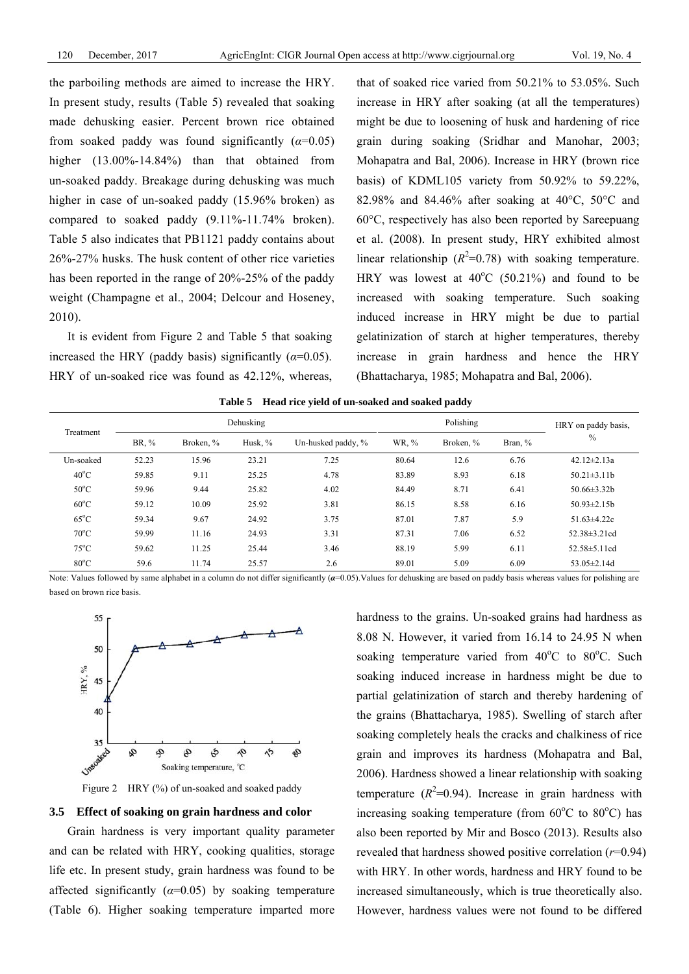the parboiling methods are aimed to increase the HRY. In present study, results (Table 5) revealed that soaking made dehusking easier. Percent brown rice obtained from soaked paddy was found significantly  $(\alpha=0.05)$ higher (13.00%-14.84%) than that obtained from un-soaked paddy. Breakage during dehusking was much higher in case of un-soaked paddy (15.96% broken) as compared to soaked paddy (9.11%-11.74% broken). Table 5 also indicates that PB1121 paddy contains about 26%-27% husks. The husk content of other rice varieties has been reported in the range of 20%-25% of the paddy weight (Champagne et al., 2004; Delcour and Hoseney, 2010).

It is evident from Figure 2 and Table 5 that soaking increased the HRY (paddy basis) significantly  $(\alpha=0.05)$ . HRY of un-soaked rice was found as 42.12%, whereas, that of soaked rice varied from 50.21% to 53.05%. Such increase in HRY after soaking (at all the temperatures) might be due to loosening of husk and hardening of rice grain during soaking (Sridhar and Manohar, 2003; Mohapatra and Bal, 2006). Increase in HRY (brown rice basis) of KDML105 variety from 50.92% to 59.22%, 82.98% and 84.46% after soaking at 40°C, 50°C and 60°C, respectively has also been reported by Sareepuang et al. (2008). In present study, HRY exhibited almost linear relationship  $(R^2=0.78)$  with soaking temperature. HRY was lowest at  $40^{\circ}$ C (50.21%) and found to be increased with soaking temperature. Such soaking induced increase in HRY might be due to partial gelatinization of starch at higher temperatures, thereby increase in grain hardness and hence the HRY (Bhattacharya, 1985; Mohapatra and Bal, 2006).

**Table 5 Head rice yield of un-soaked and soaked paddy** 

| Dehusking<br>Treatment |       |           |         |                    | Polishing |           |         | HRY on paddy basis. |
|------------------------|-------|-----------|---------|--------------------|-----------|-----------|---------|---------------------|
|                        | BR. % | Broken, % | Husk, % | Un-husked paddy, % | WR, %     | Broken, % | Bran, % | $\frac{0}{0}$       |
| Un-soaked              | 52.23 | 15.96     | 23.21   | 7.25               | 80.64     | 12.6      | 6.76    | $42.12 \pm 2.13a$   |
| $40^{\circ}$ C         | 59.85 | 9.11      | 25.25   | 4.78               | 83.89     | 8.93      | 6.18    | $50.21 \pm 3.11b$   |
| $50^{\circ}$ C         | 59.96 | 9.44      | 25.82   | 4.02               | 84.49     | 8.71      | 6.41    | $50.66 \pm 3.32 b$  |
| $60^{\circ}$ C         | 59.12 | 10.09     | 25.92   | 3.81               | 86.15     | 8.58      | 6.16    | $50.93 \pm 2.15b$   |
| $65^{\circ}$ C         | 59.34 | 9.67      | 24.92   | 3.75               | 87.01     | 7.87      | 5.9     | $51.63 \pm 4.22c$   |
| $70^{\circ}$ C         | 59.99 | 11.16     | 24.93   | 3.31               | 87.31     | 7.06      | 6.52    | $52.38 \pm 3.21$ cd |
| $75^{\circ}$ C         | 59.62 | 11.25     | 25.44   | 3.46               | 88.19     | 5.99      | 6.11    | $52.58 \pm 5.11$ cd |
| $80^{\circ}$ C         | 59.6  | 11.74     | 25.57   | 2.6                | 89.01     | 5.09      | 6.09    | $53.05 \pm 2.14$ d  |

Note: Values followed by same alphabet in a column do not differ significantly (*α*=0.05). Values for dehusking are based on paddy basis whereas values for polishing are based on brown rice basis.



Figure 2 HRY (%) of un-soaked and soaked paddy

# **3.5 Effect of soaking on grain hardness and color**

Grain hardness is very important quality parameter and can be related with HRY, cooking qualities, storage life etc. In present study, grain hardness was found to be affected significantly  $(a=0.05)$  by soaking temperature (Table 6). Higher soaking temperature imparted more hardness to the grains. Un-soaked grains had hardness as 8.08 N. However, it varied from 16.14 to 24.95 N when soaking temperature varied from 40°C to 80°C. Such soaking induced increase in hardness might be due to partial gelatinization of starch and thereby hardening of the grains (Bhattacharya, 1985). Swelling of starch after soaking completely heals the cracks and chalkiness of rice grain and improves its hardness (Mohapatra and Bal, 2006). Hardness showed a linear relationship with soaking temperature  $(R^2=0.94)$ . Increase in grain hardness with increasing soaking temperature (from  $60^{\circ}$ C to  $80^{\circ}$ C) has also been reported by Mir and Bosco (2013). Results also revealed that hardness showed positive correlation (*r*=0.94) with HRY. In other words, hardness and HRY found to be increased simultaneously, which is true theoretically also. However, hardness values were not found to be differed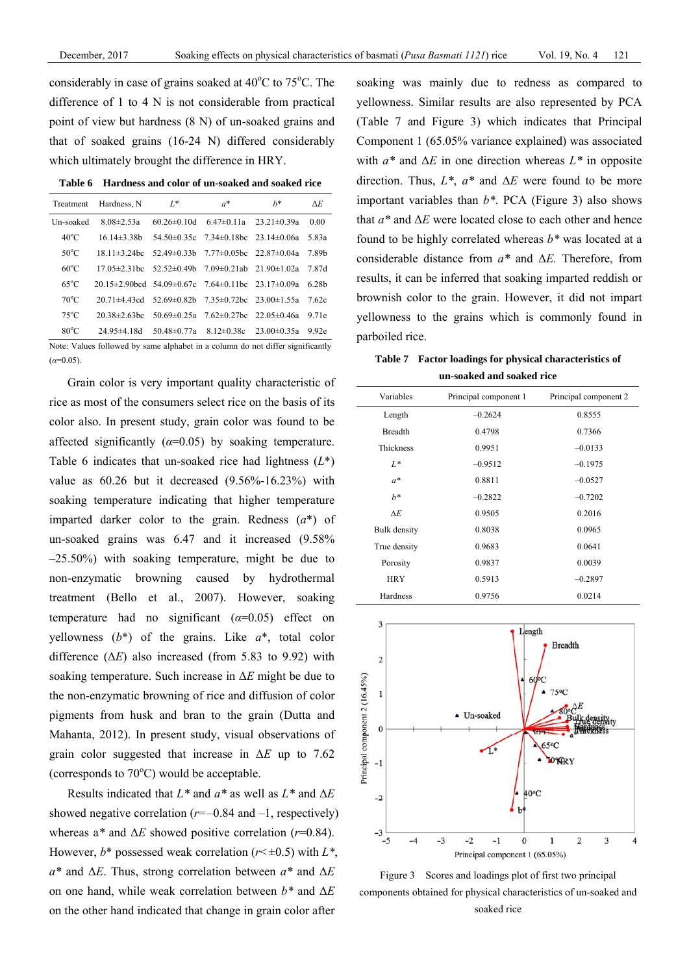considerably in case of grains soaked at  $40^{\circ}$ C to  $75^{\circ}$ C. The difference of 1 to 4 N is not considerable from practical point of view but hardness (8 N) of un-soaked grains and that of soaked grains (16-24 N) differed considerably which ultimately brought the difference in HRY.

| Treatment      | Hardness, N                                                               | $L^*$                              | $a^*$                                              | $h^*$             | AE.               |
|----------------|---------------------------------------------------------------------------|------------------------------------|----------------------------------------------------|-------------------|-------------------|
| Un-soaked      | $8.08 \pm 2.53a$                                                          | $60.26 \pm 0.10$ d                 | $6.47\pm0.11a$                                     | $23.21 \pm 0.39a$ | 0.00              |
| $40^{\circ}$ C | $16.14\pm3.38h$                                                           |                                    | $54.50\pm0.35c$ $7.34\pm0.18bc$ $23.14\pm0.06a$    |                   | 5.83a             |
| $50^{\circ}$ C | $18.11\pm3.24$ bc                                                         |                                    | $52.49\pm0.33h$ $7.77\pm0.05h$ c                   | $22.87\pm 0.04a$  | 7.89b             |
| $60^{\circ}$ C | $17.05 \pm 2.31$ hc                                                       | $52.52 \pm 0.49$ b                 | $7.09\pm0.21ab$ $21.90\pm1.02a$                    |                   | 7.87d             |
| $65^{\circ}$ C | $20.15\pm 2.90$ hcd $54.09\pm 0.67$ c $7.64\pm 0.11$ hc $23.17\pm 0.09$ a |                                    |                                                    |                   | 6.28 <sub>h</sub> |
| $70^{\circ}$ C | $20.71 \pm 4.43$ cd                                                       |                                    | $52.69\pm0.82$ b $7.35\pm0.72$ bc $23.00\pm1.55$ a |                   | 7.62c             |
| $75^{\circ}$ C | $20.38 \pm 2.63$ hc                                                       |                                    | $50.69 \pm 0.25a$ 7.62 $\pm$ 0.27bc                | $22.05 \pm 0.46a$ | 9.71e             |
| $80^{\circ}$ C | $24.95 \pm 4.18$ d                                                        | 50.48 $\pm$ 0.77a 8.12 $\pm$ 0.38c |                                                    | $23.00 \pm 0.35a$ | 9.92e             |

**Table 6 Hardness and color of un-soaked and soaked rice** 

Note: Values followed by same alphabet in a column do not differ significantly  $(\alpha=0.05)$ .

Grain color is very important quality characteristic of rice as most of the consumers select rice on the basis of its color also. In present study, grain color was found to be affected significantly  $(a=0.05)$  by soaking temperature. Table 6 indicates that un-soaked rice had lightness (*L*\*) value as 60.26 but it decreased (9.56%-16.23%) with soaking temperature indicating that higher temperature imparted darker color to the grain. Redness (*a*\*) of un-soaked grains was 6.47 and it increased (9.58% –25.50%) with soaking temperature, might be due to non-enzymatic browning caused by hydrothermal treatment (Bello et al., 2007). However, soaking temperature had no significant  $(\alpha=0.05)$  effect on yellowness  $(b^*)$  of the grains. Like  $a^*$ , total color difference  $(\Delta E)$  also increased (from 5.83 to 9.92) with soaking temperature. Such increase in Δ*E* might be due to the non-enzymatic browning of rice and diffusion of color pigments from husk and bran to the grain (Dutta and Mahanta, 2012). In present study, visual observations of grain color suggested that increase in Δ*E* up to 7.62 (corresponds to  $70^{\circ}$ C) would be acceptable.

Results indicated that *L\** and *a\** as well as *L\** and Δ*E* showed negative correlation  $(r=-0.84$  and  $-1$ , respectively) whereas a*\** and Δ*E* showed positive correlation (*r*=0.84). However,  $b^*$  possessed weak correlation ( $r \leq \pm 0.5$ ) with  $L^*$ , *a\** and Δ*E*. Thus, strong correlation between *a\** and Δ*E*  on one hand, while weak correlation between *b\** and Δ*E* on the other hand indicated that change in grain color after

soaking was mainly due to redness as compared to yellowness. Similar results are also represented by PCA (Table 7 and Figure 3) which indicates that Principal Component 1 (65.05% variance explained) was associated with *a\** and Δ*E* in one direction whereas *L\** in opposite direction. Thus, *L\**, *a\** and Δ*E* were found to be more important variables than *b\**. PCA (Figure 3) also shows that *a\** and Δ*E* were located close to each other and hence found to be highly correlated whereas *b\** was located at a considerable distance from *a\** and Δ*E.* Therefore, from results, it can be inferred that soaking imparted reddish or brownish color to the grain. However, it did not impart yellowness to the grains which is commonly found in parboiled rice.

**Table 7 Factor loadings for physical characteristics of un-soaked and soaked rice** 

| Variables      | Principal component 1 | Principal component 2 |
|----------------|-----------------------|-----------------------|
| Length         | $-0.2624$             | 0.8555                |
| <b>Breadth</b> | 0.4798                | 0.7366                |
| Thickness      | 0.9951                | $-0.0133$             |
| $L^*$          | $-0.9512$             | $-0.1975$             |
| $a^*$          | 0.8811                | $-0.0527$             |
| $h^*$          | $-0.2822$             | $-0.7202$             |
| $\Delta E$     | 0.9505                | 0.2016                |
| Bulk density   | 0.8038                | 0.0965                |
| True density   | 0.9683                | 0.0641                |
| Porosity       | 0.9837                | 0.0039                |
| <b>HRY</b>     | 0.5913                | $-0.2897$             |
| Hardness       | 0.9756                | 0.0214                |



Figure 3 Scores and loadings plot of first two principal components obtained for physical characteristics of un-soaked and soaked rice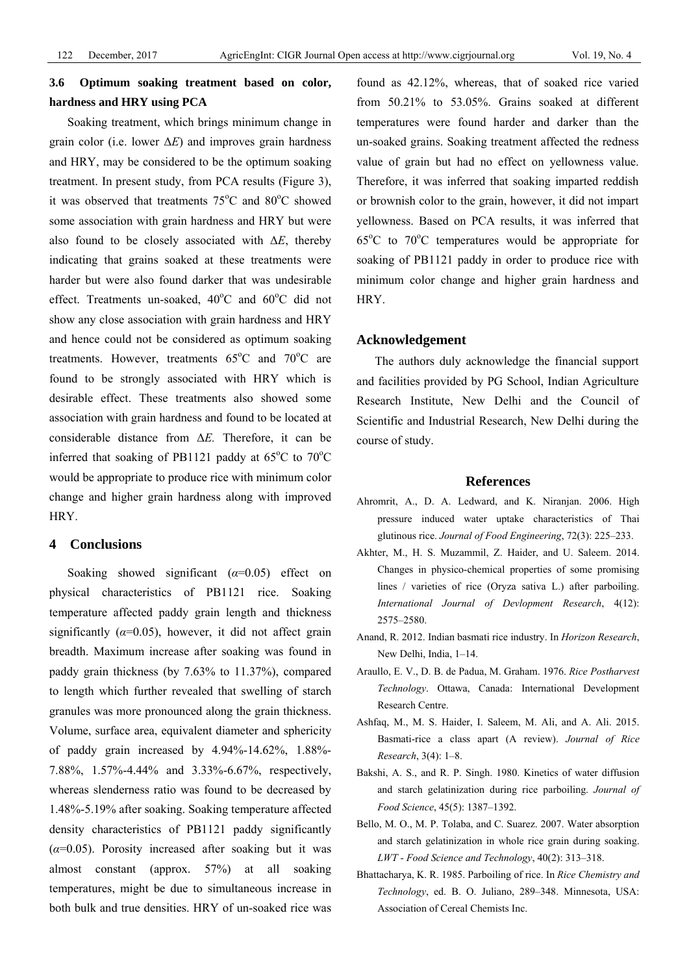# **3.6 Optimum soaking treatment based on color, hardness and HRY using PCA**

Soaking treatment, which brings minimum change in grain color (i.e. lower  $\Delta E$ ) and improves grain hardness and HRY, may be considered to be the optimum soaking treatment. In present study, from PCA results (Figure 3), it was observed that treatments  $75^{\circ}$ C and  $80^{\circ}$ C showed some association with grain hardness and HRY but were also found to be closely associated with Δ*E*, thereby indicating that grains soaked at these treatments were harder but were also found darker that was undesirable effect. Treatments un-soaked,  $40^{\circ}$ C and  $60^{\circ}$ C did not show any close association with grain hardness and HRY and hence could not be considered as optimum soaking treatments. However, treatments  $65^{\circ}$ C and  $70^{\circ}$ C are found to be strongly associated with HRY which is desirable effect. These treatments also showed some association with grain hardness and found to be located at considerable distance from Δ*E.* Therefore, it can be inferred that soaking of PB1121 paddy at  $65^{\circ}$ C to  $70^{\circ}$ C would be appropriate to produce rice with minimum color change and higher grain hardness along with improved **HRY** 

## **4 Conclusions**

Soaking showed significant (*α*=0.05) effect on physical characteristics of PB1121 rice. Soaking temperature affected paddy grain length and thickness significantly  $(\alpha=0.05)$ , however, it did not affect grain breadth. Maximum increase after soaking was found in paddy grain thickness (by 7.63% to 11.37%), compared to length which further revealed that swelling of starch granules was more pronounced along the grain thickness. Volume, surface area, equivalent diameter and sphericity of paddy grain increased by 4.94%-14.62%, 1.88%- 7.88%, 1.57%-4.44% and 3.33%-6.67%, respectively, whereas slenderness ratio was found to be decreased by 1.48%-5.19% after soaking. Soaking temperature affected density characteristics of PB1121 paddy significantly  $(\alpha=0.05)$ . Porosity increased after soaking but it was almost constant (approx. 57%) at all soaking temperatures, might be due to simultaneous increase in both bulk and true densities. HRY of un-soaked rice was found as 42.12%, whereas, that of soaked rice varied from 50.21% to 53.05%. Grains soaked at different temperatures were found harder and darker than the un-soaked grains. Soaking treatment affected the redness value of grain but had no effect on yellowness value. Therefore, it was inferred that soaking imparted reddish or brownish color to the grain, however, it did not impart yellowness. Based on PCA results, it was inferred that 65°C to 70°C temperatures would be appropriate for soaking of PB1121 paddy in order to produce rice with minimum color change and higher grain hardness and HRY.

#### **Acknowledgement**

The authors duly acknowledge the financial support and facilities provided by PG School, Indian Agriculture Research Institute, New Delhi and the Council of Scientific and Industrial Research, New Delhi during the course of study.

#### **References**

- Ahromrit, A., D. A. Ledward, and K. Niranjan. 2006. High pressure induced water uptake characteristics of Thai glutinous rice. *Journal of Food Engineering*, 72(3): 225–233.
- Akhter, M., H. S. Muzammil, Z. Haider, and U. Saleem. 2014. Changes in physico-chemical properties of some promising lines / varieties of rice (Oryza sativa L.) after parboiling. *International Journal of Devlopment Research*, 4(12): 2575–2580.
- Anand, R. 2012. Indian basmati rice industry. In *Horizon Research*, New Delhi, India, 1–14.
- Araullo, E. V., D. B. de Padua, M. Graham. 1976. *Rice Postharvest Technology*. Ottawa, Canada: International Development Research Centre.
- Ashfaq, M., M. S. Haider, I. Saleem, M. Ali, and A. Ali. 2015. Basmati-rice a class apart (A review). *Journal of Rice Research*, 3(4): 1–8.
- Bakshi, A. S., and R. P. Singh. 1980. Kinetics of water diffusion and starch gelatinization during rice parboiling. *Journal of Food Science*, 45(5): 1387–1392.
- Bello, M. O., M. P. Tolaba, and C. Suarez. 2007. Water absorption and starch gelatinization in whole rice grain during soaking. *LWT - Food Science and Technology*, 40(2): 313–318.
- Bhattacharya, K. R. 1985. Parboiling of rice. In *Rice Chemistry and Technology*, ed. B. O. Juliano, 289–348. Minnesota, USA: Association of Cereal Chemists Inc.